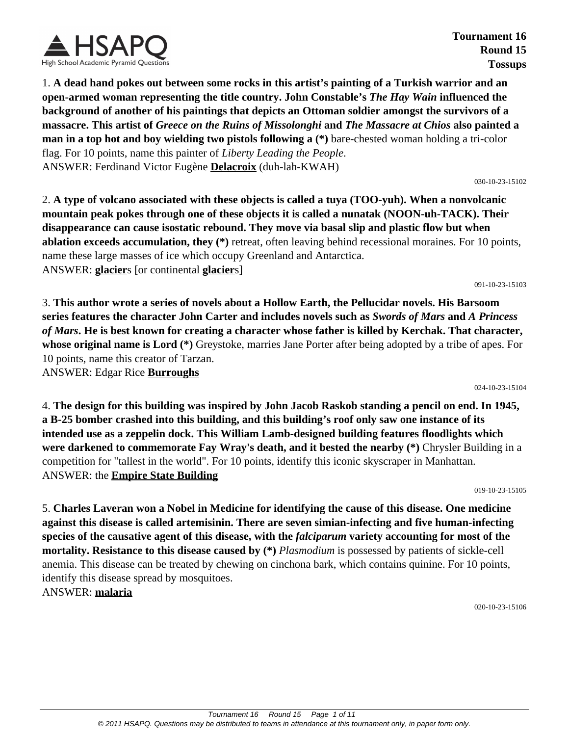

**Tournament 16 Round 15 Tossups**

1. **A dead hand pokes out between some rocks in this artist's painting of a Turkish warrior and an open-armed woman representing the title country. John Constable's** *The Hay Wain* **influenced the background of another of his paintings that depicts an Ottoman soldier amongst the survivors of a massacre. This artist of** *Greece on the Ruins of Missolonghi* **and** *The Massacre at Chios* **also painted a man in a top hot and boy wielding two pistols following a (\*)** bare-chested woman holding a tri-color flag. For 10 points, name this painter of *Liberty Leading the People*. ANSWER: Ferdinand Victor Eugène **Delacroix** (duh-lah-KWAH)

2. **A type of volcano associated with these objects is called a tuya (TOO-yuh). When a nonvolcanic mountain peak pokes through one of these objects it is called a nunatak (NOON-uh-TACK). Their disappearance can cause isostatic rebound. They move via basal slip and plastic flow but when ablation exceeds accumulation, they (\*)** retreat, often leaving behind recessional moraines. For 10 points, name these large masses of ice which occupy Greenland and Antarctica. ANSWER: **glacier**s [or continental **glacier**s]

3. **This author wrote a series of novels about a Hollow Earth, the Pellucidar novels. His Barsoom series features the character John Carter and includes novels such as** *Swords of Mars* **and** *A Princess of Mars***. He is best known for creating a character whose father is killed by Kerchak. That character, whose original name is Lord (\*)** Greystoke, marries Jane Porter after being adopted by a tribe of apes. For 10 points, name this creator of Tarzan.

ANSWER: Edgar Rice **Burroughs**

4. **The design for this building was inspired by John Jacob Raskob standing a pencil on end. In 1945, a B-25 bomber crashed into this building, and this building's roof only saw one instance of its intended use as a zeppelin dock. This William Lamb-designed building features floodlights which were darkened to commemorate Fay Wray's death, and it bested the nearby (\*)** Chrysler Building in a competition for "tallest in the world". For 10 points, identify this iconic skyscraper in Manhattan. ANSWER: the **Empire State Building**

019-10-23-15105

5. **Charles Laveran won a Nobel in Medicine for identifying the cause of this disease. One medicine against this disease is called artemisinin. There are seven simian-infecting and five human-infecting species of the causative agent of this disease, with the** *falciparum* **variety accounting for most of the mortality. Resistance to this disease caused by (\*)** *Plasmodium* is possessed by patients of sickle-cell anemia. This disease can be treated by chewing on cinchona bark, which contains quinine. For 10 points, identify this disease spread by mosquitoes. ANSWER: **malaria**

020-10-23-15106



030-10-23-15102

091-10-23-15103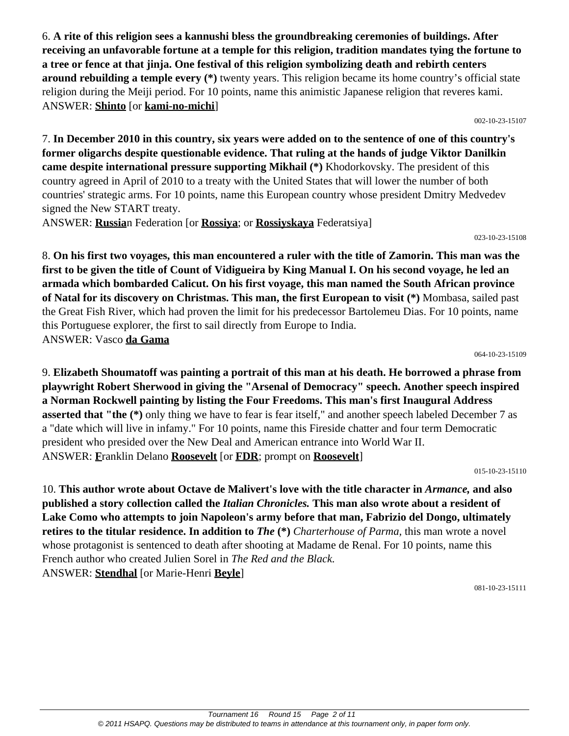6. **A rite of this religion sees a kannushi bless the groundbreaking ceremonies of buildings. After receiving an unfavorable fortune at a temple for this religion, tradition mandates tying the fortune to a tree or fence at that jinja. One festival of this religion symbolizing death and rebirth centers around rebuilding a temple every (\*)** twenty years. This religion became its home country's official state religion during the Meiji period. For 10 points, name this animistic Japanese religion that reveres kami. ANSWER: **Shinto** [or **kami-no-michi**]

002-10-23-15107

7. **In December 2010 in this country, six years were added on to the sentence of one of this country's former oligarchs despite questionable evidence. That ruling at the hands of judge Viktor Danilkin came despite international pressure supporting Mikhail (\*)** Khodorkovsky. The president of this country agreed in April of 2010 to a treaty with the United States that will lower the number of both countries' strategic arms. For 10 points, name this European country whose president Dmitry Medvedev signed the New START treaty.

ANSWER: **Russia**n Federation [or **Rossiya**; or **Rossiyskaya** Federatsiya]

023-10-23-15108

8. **On his first two voyages, this man encountered a ruler with the title of Zamorin. This man was the first to be given the title of Count of Vidigueira by King Manual I. On his second voyage, he led an armada which bombarded Calicut. On his first voyage, this man named the South African province of Natal for its discovery on Christmas. This man, the first European to visit (\*)** Mombasa, sailed past the Great Fish River, which had proven the limit for his predecessor Bartolemeu Dias. For 10 points, name this Portuguese explorer, the first to sail directly from Europe to India. ANSWER: Vasco **da Gama**

064-10-23-15109

9. **Elizabeth Shoumatoff was painting a portrait of this man at his death. He borrowed a phrase from playwright Robert Sherwood in giving the "Arsenal of Democracy" speech. Another speech inspired a Norman Rockwell painting by listing the Four Freedoms. This man's first Inaugural Address asserted that "the (\*)** only thing we have to fear is fear itself," and another speech labeled December 7 as a "date which will live in infamy." For 10 points, name this Fireside chatter and four term Democratic president who presided over the New Deal and American entrance into World War II. ANSWER: **F**ranklin Delano **Roosevelt** [or **FDR**; prompt on **Roosevelt**]

015-10-23-15110

10. **This author wrote about Octave de Malivert's love with the title character in** *Armance,* **and also published a story collection called the** *Italian Chronicles.* **This man also wrote about a resident of Lake Como who attempts to join Napoleon's army before that man, Fabrizio del Dongo, ultimately retires to the titular residence. In addition to** *The* (\*) *Charterhouse of Parma*, this man wrote a novel whose protagonist is sentenced to death after shooting at Madame de Renal. For 10 points, name this French author who created Julien Sorel in *The Red and the Black.* ANSWER: **Stendhal** [or Marie-Henri **Beyle**]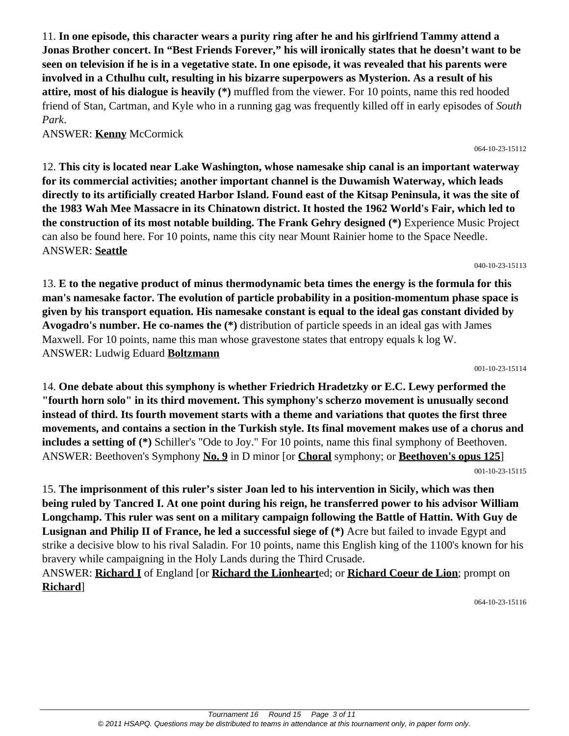Tournament 16 Round 15 Page 3 of 11 © 2011 HSAPQ. Questions may be distributed to teams in attendance at this tournament only, in paper form only.

11. **In one episode, this character wears a purity ring after he and his girlfriend Tammy attend a Jonas Brother concert. In "Best Friends Forever," his will ironically states that he doesn't want to be seen on television if he is in a vegetative state. In one episode, it was revealed that his parents were involved in a Cthulhu cult, resulting in his bizarre superpowers as Mysterion. As a result of his attire, most of his dialogue is heavily (\*)** muffled from the viewer. For 10 points, name this red hooded friend of Stan, Cartman, and Kyle who in a running gag was frequently killed off in early episodes of *South Park*.

ANSWER: **Kenny** McCormick

12. **This city is located near Lake Washington, whose namesake ship canal is an important waterway for its commercial activities; another important channel is the Duwamish Waterway, which leads directly to its artificially created Harbor Island. Found east of the Kitsap Peninsula, it was the site of the 1983 Wah Mee Massacre in its Chinatown district. It hosted the 1962 World's Fair, which led to the construction of its most notable building. The Frank Gehry designed (\*)** Experience Music Project can also be found here. For 10 points, name this city near Mount Rainier home to the Space Needle. ANSWER: **Seattle**

13. **E to the negative product of minus thermodynamic beta times the energy is the formula for this man's namesake factor. The evolution of particle probability in a position-momentum phase space is given by his transport equation. His namesake constant is equal to the ideal gas constant divided by Avogadro's number. He co-names the (\*)** distribution of particle speeds in an ideal gas with James Maxwell. For 10 points, name this man whose gravestone states that entropy equals k log W. ANSWER: Ludwig Eduard **Boltzmann**

001-10-23-15114

040-10-23-15113

14. **One debate about this symphony is whether Friedrich Hradetzky or E.C. Lewy performed the "fourth horn solo" in its third movement. This symphony's scherzo movement is unusually second instead of third. Its fourth movement starts with a theme and variations that quotes the first three movements, and contains a section in the Turkish style. Its final movement makes use of a chorus and includes a setting of (\*)** Schiller's "Ode to Joy." For 10 points, name this final symphony of Beethoven. ANSWER: Beethoven's Symphony **No. 9** in D minor [or **Choral** symphony; or **Beethoven's opus 125**] 001-10-23-15115

15. **The imprisonment of this ruler's sister Joan led to his intervention in Sicily, which was then being ruled by Tancred I. At one point during his reign, he transferred power to his advisor William Longchamp. This ruler was sent on a military campaign following the Battle of Hattin. With Guy de Lusignan and Philip II of France, he led a successful siege of (\*)** Acre but failed to invade Egypt and strike a decisive blow to his rival Saladin. For 10 points, name this English king of the 1100's known for his bravery while campaigning in the Holy Lands during the Third Crusade.

ANSWER: **Richard I** of England [or **Richard the Lionheart**ed; or **Richard Coeur de Lion**; prompt on **Richard**]

064-10-23-15116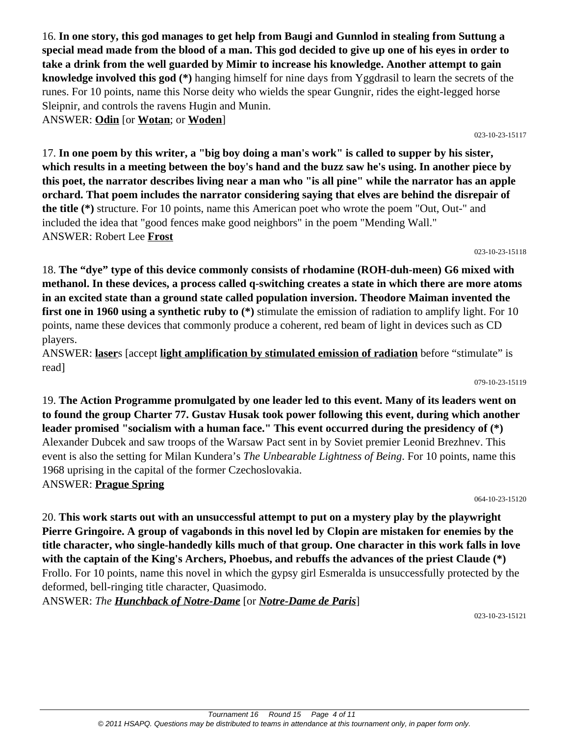16. **In one story, this god manages to get help from Baugi and Gunnlod in stealing from Suttung a special mead made from the blood of a man. This god decided to give up one of his eyes in order to take a drink from the well guarded by Mimir to increase his knowledge. Another attempt to gain knowledge involved this god (\*)** hanging himself for nine days from Yggdrasil to learn the secrets of the runes. For 10 points, name this Norse deity who wields the spear Gungnir, rides the eight-legged horse Sleipnir, and controls the ravens Hugin and Munin. ANSWER: **Odin** [or **Wotan**; or **Woden**]

17. **In one poem by this writer, a "big boy doing a man's work" is called to supper by his sister, which results in a meeting between the boy's hand and the buzz saw he's using. In another piece by this poet, the narrator describes living near a man who "is all pine" while the narrator has an apple orchard. That poem includes the narrator considering saying that elves are behind the disrepair of the title (\*)** structure. For 10 points, name this American poet who wrote the poem "Out, Out-" and included the idea that "good fences make good neighbors" in the poem "Mending Wall." ANSWER: Robert Lee **Frost**

18. **The "dye" type of this device commonly consists of rhodamine (ROH-duh-meen) G6 mixed with methanol. In these devices, a process called q-switching creates a state in which there are more atoms in an excited state than a ground state called population inversion. Theodore Maiman invented the first one in 1960 using a synthetic ruby to (\*)** stimulate the emission of radiation to amplify light. For 10 points, name these devices that commonly produce a coherent, red beam of light in devices such as CD players.

ANSWER: **laser**s [accept **light amplification by stimulated emission of radiation** before "stimulate" is read]

079-10-23-15119

19. **The Action Programme promulgated by one leader led to this event. Many of its leaders went on to found the group Charter 77. Gustav Husak took power following this event, during which another leader promised "socialism with a human face." This event occurred during the presidency of (\*)** Alexander Dubcek and saw troops of the Warsaw Pact sent in by Soviet premier Leonid Brezhnev. This event is also the setting for Milan Kundera's *The Unbearable Lightness of Being*. For 10 points, name this 1968 uprising in the capital of the former Czechoslovakia. ANSWER: **Prague Spring**

064-10-23-15120

20. **This work starts out with an unsuccessful attempt to put on a mystery play by the playwright Pierre Gringoire. A group of vagabonds in this novel led by Clopin are mistaken for enemies by the title character, who single-handedly kills much of that group. One character in this work falls in love with the captain of the King's Archers, Phoebus, and rebuffs the advances of the priest Claude (\*)** Frollo. For 10 points, name this novel in which the gypsy girl Esmeralda is unsuccessfully protected by the deformed, bell-ringing title character, Quasimodo.

ANSWER: *The Hunchback of Notre-Dame* [or *Notre-Dame de Paris*]

023-10-23-15121

#### 023-10-23-15117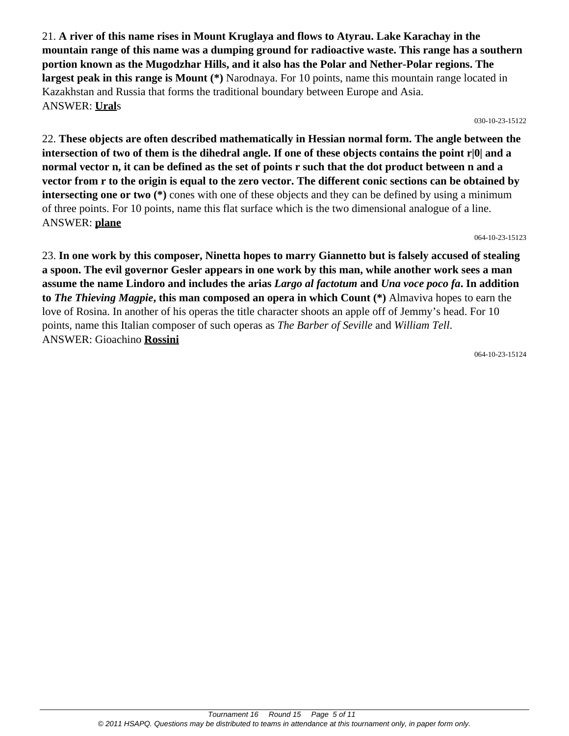21. **A river of this name rises in Mount Kruglaya and flows to Atyrau. Lake Karachay in the mountain range of this name was a dumping ground for radioactive waste. This range has a southern portion known as the Mugodzhar Hills, and it also has the Polar and Nether-Polar regions. The largest peak in this range is Mount (\*)** Narodnaya. For 10 points, name this mountain range located in Kazakhstan and Russia that forms the traditional boundary between Europe and Asia. ANSWER: **Ural**s

030-10-23-15122

22. **These objects are often described mathematically in Hessian normal form. The angle between the intersection of two of them is the dihedral angle. If one of these objects contains the point r|0| and a normal vector n, it can be defined as the set of points r such that the dot product between n and a vector from r to the origin is equal to the zero vector. The different conic sections can be obtained by intersecting one or two** (\*) cones with one of these objects and they can be defined by using a minimum of three points. For 10 points, name this flat surface which is the two dimensional analogue of a line. ANSWER: **plane**

064-10-23-15123

23. **In one work by this composer, Ninetta hopes to marry Giannetto but is falsely accused of stealing a spoon. The evil governor Gesler appears in one work by this man, while another work sees a man assume the name Lindoro and includes the arias** *Largo al factotum* **and** *Una voce poco fa***. In addition to** *The Thieving Magpie***, this man composed an opera in which Count (\*)** Almaviva hopes to earn the love of Rosina. In another of his operas the title character shoots an apple off of Jemmy's head. For 10 points, name this Italian composer of such operas as *The Barber of Seville* and *William Tell*. ANSWER: Gioachino **Rossini**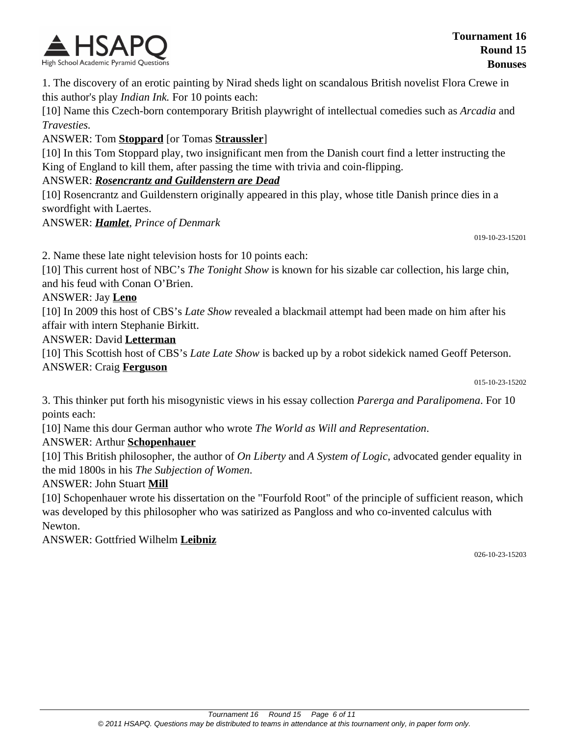

1. The discovery of an erotic painting by Nirad sheds light on scandalous British novelist Flora Crewe in this author's play *Indian Ink.* For 10 points each:

[10] Name this Czech-born contemporary British playwright of intellectual comedies such as *Arcadia* and *Travesties.*

ANSWER: Tom **Stoppard** [or Tomas **Straussler**]

[10] In this Tom Stoppard play, two insignificant men from the Danish court find a letter instructing the King of England to kill them, after passing the time with trivia and coin-flipping.

#### ANSWER: *Rosencrantz and Guildenstern are Dead*

[10] Rosencrantz and Guildenstern originally appeared in this play, whose title Danish prince dies in a swordfight with Laertes.

ANSWER: *Hamlet, Prince of Denmark*

019-10-23-15201

2. Name these late night television hosts for 10 points each:

[10] This current host of NBC's *The Tonight Show* is known for his sizable car collection, his large chin, and his feud with Conan O'Brien.

#### ANSWER: Jay **Leno**

[10] In 2009 this host of CBS's *Late Show* revealed a blackmail attempt had been made on him after his affair with intern Stephanie Birkitt.

#### ANSWER: David **Letterman**

[10] This Scottish host of CBS's *Late Late Show* is backed up by a robot sidekick named Geoff Peterson. ANSWER: Craig **Ferguson**

015-10-23-15202

3. This thinker put forth his misogynistic views in his essay collection *Parerga and Paralipomena*. For 10 points each:

[10] Name this dour German author who wrote *The World as Will and Representation*.

#### ANSWER: Arthur **Schopenhauer**

[10] This British philosopher, the author of *On Liberty* and *A System of Logic*, advocated gender equality in the mid 1800s in his *The Subjection of Women*.

#### ANSWER: John Stuart **Mill**

[10] Schopenhauer wrote his dissertation on the "Fourfold Root" of the principle of sufficient reason, which was developed by this philosopher who was satirized as Pangloss and who co-invented calculus with Newton.

ANSWER: Gottfried Wilhelm **Leibniz**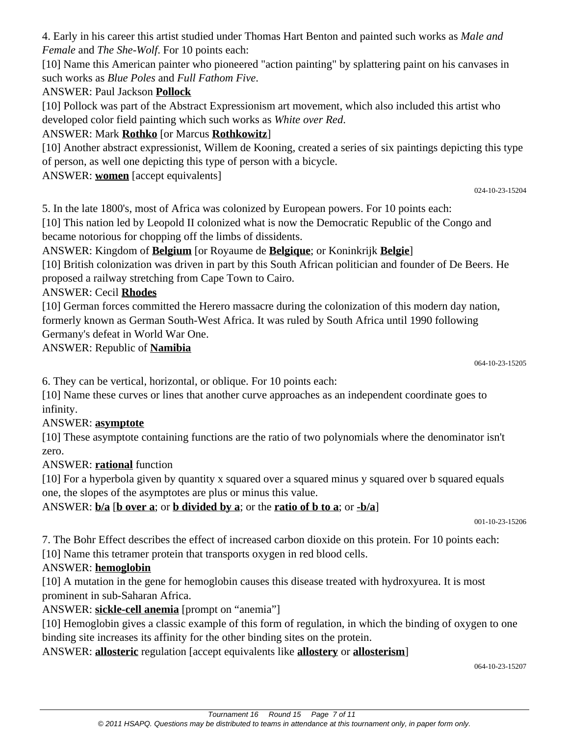4. Early in his career this artist studied under Thomas Hart Benton and painted such works as *Male and Female* and *The She-Wolf*. For 10 points each:

[10] Name this American painter who pioneered "action painting" by splattering paint on his canvases in such works as *Blue Poles* and *Full Fathom Five*.

# ANSWER: Paul Jackson **Pollock**

[10] Pollock was part of the Abstract Expressionism art movement, which also included this artist who developed color field painting which such works as *White over Red*.

# ANSWER: Mark **Rothko** [or Marcus **Rothkowitz**]

[10] Another abstract expressionist, Willem de Kooning, created a series of six paintings depicting this type of person, as well one depicting this type of person with a bicycle.

ANSWER: **women** [accept equivalents]

024-10-23-15204

5. In the late 1800's, most of Africa was colonized by European powers. For 10 points each:

[10] This nation led by Leopold II colonized what is now the Democratic Republic of the Congo and became notorious for chopping off the limbs of dissidents.

ANSWER: Kingdom of **Belgium** [or Royaume de **Belgique**; or Koninkrijk **Belgie**]

[10] British colonization was driven in part by this South African politician and founder of De Beers. He proposed a railway stretching from Cape Town to Cairo.

# ANSWER: Cecil **Rhodes**

[10] German forces committed the Herero massacre during the colonization of this modern day nation, formerly known as German South-West Africa. It was ruled by South Africa until 1990 following Germany's defeat in World War One.

ANSWER: Republic of **Namibia**

064-10-23-15205

6. They can be vertical, horizontal, or oblique. For 10 points each:

[10] Name these curves or lines that another curve approaches as an independent coordinate goes to infinity.

# ANSWER: **asymptote**

[10] These asymptote containing functions are the ratio of two polynomials where the denominator isn't zero.

# ANSWER: **rational** function

[10] For a hyperbola given by quantity x squared over a squared minus y squared over b squared equals one, the slopes of the asymptotes are plus or minus this value.

ANSWER: **b/a** [**b over a**; or **b divided by a**; or the **ratio of b to a**; or **-b/a**]

001-10-23-15206

7. The Bohr Effect describes the effect of increased carbon dioxide on this protein. For 10 points each:

[10] Name this tetramer protein that transports oxygen in red blood cells.

# ANSWER: **hemoglobin**

[10] A mutation in the gene for hemoglobin causes this disease treated with hydroxyurea. It is most prominent in sub-Saharan Africa.

## ANSWER: **sickle-cell anemia** [prompt on "anemia"]

[10] Hemoglobin gives a classic example of this form of regulation, in which the binding of oxygen to one binding site increases its affinity for the other binding sites on the protein.

## ANSWER: **allosteric** regulation [accept equivalents like **allostery** or **allosterism**]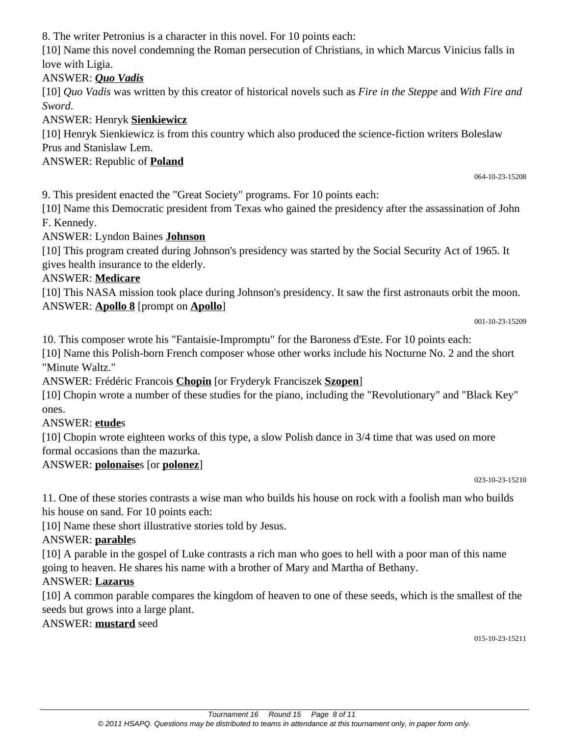Tournament 16 Round 15 Page 8 of 11 © 2011 HSAPQ. Questions may be distributed to teams in attendance at this tournament only, in paper form only.

8. The writer Petronius is a character in this novel. For 10 points each:

[10] Name this novel condemning the Roman persecution of Christians, in which Marcus Vinicius falls in love with Ligia.

#### ANSWER: *Quo Vadis*

[10] *Quo Vadis* was written by this creator of historical novels such as *Fire in the Steppe* and *With Fire and Sword*.

#### ANSWER: Henryk **Sienkiewicz**

[10] Henryk Sienkiewicz is from this country which also produced the science-fiction writers Boleslaw Prus and Stanislaw Lem.

## ANSWER: Republic of **Poland**

9. This president enacted the "Great Society" programs. For 10 points each:

[10] Name this Democratic president from Texas who gained the presidency after the assassination of John F. Kennedy.

#### ANSWER: Lyndon Baines **Johnson**

[10] This program created during Johnson's presidency was started by the Social Security Act of 1965. It gives health insurance to the elderly.

#### ANSWER: **Medicare**

[10] This NASA mission took place during Johnson's presidency. It saw the first astronauts orbit the moon. ANSWER: **Apollo 8** [prompt on **Apollo**]

001-10-23-15209

064-10-23-15208

10. This composer wrote his "Fantaisie-Impromptu" for the Baroness d'Este. For 10 points each:

[10] Name this Polish-born French composer whose other works include his Nocturne No. 2 and the short "Minute Waltz."

ANSWER: Frédéric Francois **Chopin** [or Fryderyk Franciszek **Szopen**]

[10] Chopin wrote a number of these studies for the piano, including the "Revolutionary" and "Black Key" ones.

## ANSWER: **etude**s

[10] Chopin wrote eighteen works of this type, a slow Polish dance in 3/4 time that was used on more formal occasions than the mazurka.

## ANSWER: **polonaise**s [or **polonez**]

023-10-23-15210

11. One of these stories contrasts a wise man who builds his house on rock with a foolish man who builds his house on sand. For 10 points each:

[10] Name these short illustrative stories told by Jesus.

#### ANSWER: **parable**s

[10] A parable in the gospel of Luke contrasts a rich man who goes to hell with a poor man of this name going to heaven. He shares his name with a brother of Mary and Martha of Bethany.

## ANSWER: **Lazarus**

[10] A common parable compares the kingdom of heaven to one of these seeds, which is the smallest of the seeds but grows into a large plant.

## ANSWER: **mustard** seed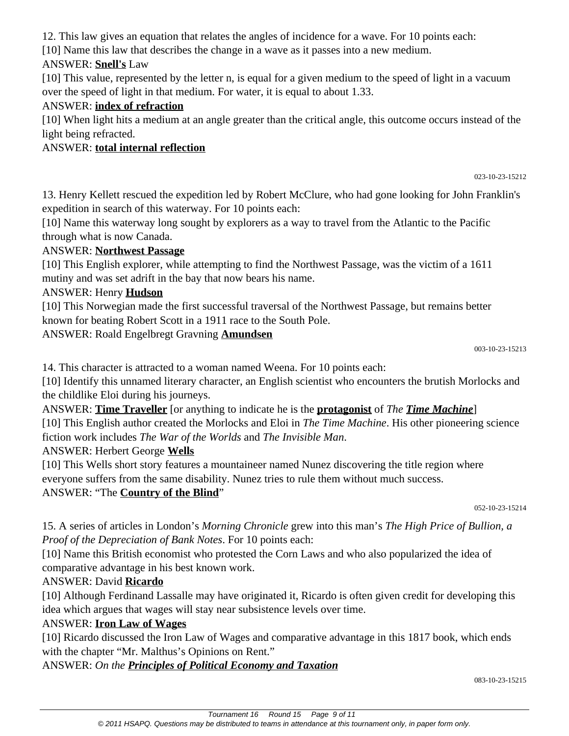12. This law gives an equation that relates the angles of incidence for a wave. For 10 points each:

[10] Name this law that describes the change in a wave as it passes into a new medium.

# ANSWER: **Snell's** Law

[10] This value, represented by the letter n, is equal for a given medium to the speed of light in a vacuum over the speed of light in that medium. For water, it is equal to about 1.33.

## ANSWER: **index of refraction**

[10] When light hits a medium at an angle greater than the critical angle, this outcome occurs instead of the light being refracted.

# ANSWER: **total internal reflection**

023-10-23-15212

13. Henry Kellett rescued the expedition led by Robert McClure, who had gone looking for John Franklin's expedition in search of this waterway. For 10 points each:

[10] Name this waterway long sought by explorers as a way to travel from the Atlantic to the Pacific through what is now Canada.

## ANSWER: **Northwest Passage**

[10] This English explorer, while attempting to find the Northwest Passage, was the victim of a 1611 mutiny and was set adrift in the bay that now bears his name.

## ANSWER: Henry **Hudson**

[10] This Norwegian made the first successful traversal of the Northwest Passage, but remains better known for beating Robert Scott in a 1911 race to the South Pole.

ANSWER: Roald Engelbregt Gravning **Amundsen**

003-10-23-15213

14. This character is attracted to a woman named Weena. For 10 points each:

[10] Identify this unnamed literary character, an English scientist who encounters the brutish Morlocks and the childlike Eloi during his journeys.

ANSWER: **Time Traveller** [or anything to indicate he is the **protagonist** of *The Time Machine*] [10] This English author created the Morlocks and Eloi in *The Time Machine*. His other pioneering science fiction work includes *The War of the Worlds* and *The Invisible Man*.

ANSWER: Herbert George **Wells**

[10] This Wells short story features a mountaineer named Nunez discovering the title region where everyone suffers from the same disability. Nunez tries to rule them without much success. ANSWER: "The **Country of the Blind**"

052-10-23-15214

15. A series of articles in London's *Morning Chronicle* grew into this man's *The High Price of Bullion, a Proof of the Depreciation of Bank Notes*. For 10 points each:

[10] Name this British economist who protested the Corn Laws and who also popularized the idea of comparative advantage in his best known work.

# ANSWER: David **Ricardo**

[10] Although Ferdinand Lassalle may have originated it, Ricardo is often given credit for developing this idea which argues that wages will stay near subsistence levels over time.

# ANSWER: **Iron Law of Wages**

[10] Ricardo discussed the Iron Law of Wages and comparative advantage in this 1817 book, which ends with the chapter "Mr. Malthus's Opinions on Rent."

# ANSWER: *On the Principles of Political Economy and Taxation*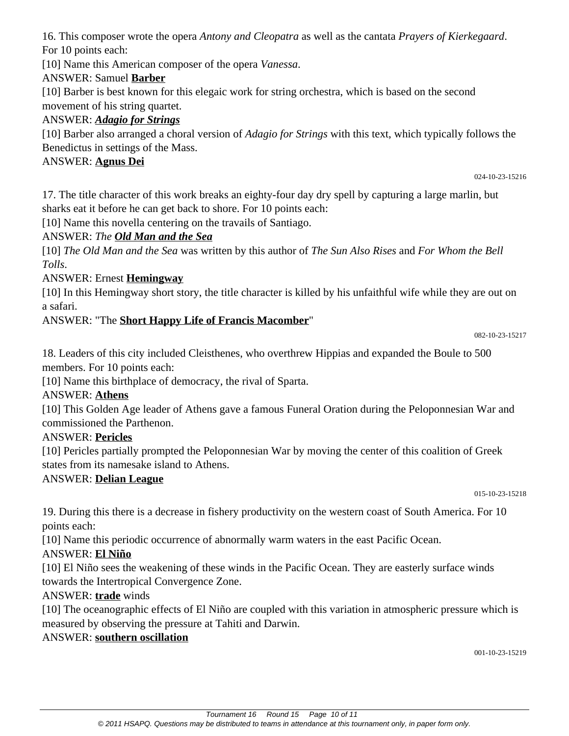16. This composer wrote the opera *Antony and Cleopatra* as well as the cantata *Prayers of Kierkegaard*. For 10 points each:

[10] Name this American composer of the opera *Vanessa*.

## ANSWER: Samuel **Barber**

[10] Barber is best known for this elegaic work for string orchestra, which is based on the second movement of his string quartet.

# ANSWER: *Adagio for Strings*

[10] Barber also arranged a choral version of *Adagio for Strings* with this text, which typically follows the Benedictus in settings of the Mass.

#### ANSWER: **Agnus Dei**

024-10-23-15216

17. The title character of this work breaks an eighty-four day dry spell by capturing a large marlin, but sharks eat it before he can get back to shore. For 10 points each:

[10] Name this novella centering on the travails of Santiago.

## ANSWER: *The Old Man and the Sea*

[10] *The Old Man and the Sea* was written by this author of *The Sun Also Rises* and *For Whom the Bell Tolls*.

## ANSWER: Ernest **Hemingway**

[10] In this Hemingway short story, the title character is killed by his unfaithful wife while they are out on a safari.

## ANSWER: "The **Short Happy Life of Francis Macomber**"

082-10-23-15217

18. Leaders of this city included Cleisthenes, who overthrew Hippias and expanded the Boule to 500 members. For 10 points each:

[10] Name this birthplace of democracy, the rival of Sparta.

#### ANSWER: **Athens**

[10] This Golden Age leader of Athens gave a famous Funeral Oration during the Peloponnesian War and commissioned the Parthenon.

#### ANSWER: **Pericles**

[10] Pericles partially prompted the Peloponnesian War by moving the center of this coalition of Greek states from its namesake island to Athens.

#### ANSWER: **Delian League**

015-10-23-15218

19. During this there is a decrease in fishery productivity on the western coast of South America. For 10 points each:

[10] Name this periodic occurrence of abnormally warm waters in the east Pacific Ocean.

## ANSWER: **El Niño**

[10] El Niño sees the weakening of these winds in the Pacific Ocean. They are easterly surface winds towards the Intertropical Convergence Zone.

ANSWER: **trade** winds

[10] The oceanographic effects of El Niño are coupled with this variation in atmospheric pressure which is measured by observing the pressure at Tahiti and Darwin.

## ANSWER: **southern oscillation**